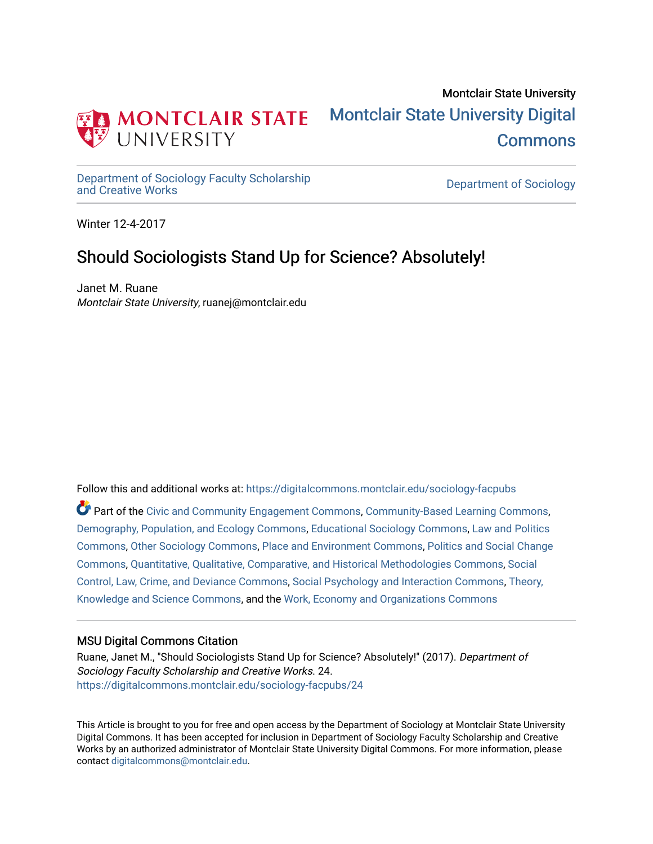

## Montclair State University [Montclair State University Digital](https://digitalcommons.montclair.edu/)  [Commons](https://digitalcommons.montclair.edu/)

[Department of Sociology Faculty Scholarship](https://digitalcommons.montclair.edu/sociology-facpubs)

Department of Sociology

Winter 12-4-2017

## Should Sociologists Stand Up for Science? Absolutely!

Janet M. Ruane Montclair State University, ruanej@montclair.edu

Follow this and additional works at: [https://digitalcommons.montclair.edu/sociology-facpubs](https://digitalcommons.montclair.edu/sociology-facpubs?utm_source=digitalcommons.montclair.edu%2Fsociology-facpubs%2F24&utm_medium=PDF&utm_campaign=PDFCoverPages)

Part of the [Civic and Community Engagement Commons](http://network.bepress.com/hgg/discipline/1028?utm_source=digitalcommons.montclair.edu%2Fsociology-facpubs%2F24&utm_medium=PDF&utm_campaign=PDFCoverPages), [Community-Based Learning Commons](http://network.bepress.com/hgg/discipline/1046?utm_source=digitalcommons.montclair.edu%2Fsociology-facpubs%2F24&utm_medium=PDF&utm_campaign=PDFCoverPages), [Demography, Population, and Ecology Commons](http://network.bepress.com/hgg/discipline/418?utm_source=digitalcommons.montclair.edu%2Fsociology-facpubs%2F24&utm_medium=PDF&utm_campaign=PDFCoverPages), [Educational Sociology Commons](http://network.bepress.com/hgg/discipline/1071?utm_source=digitalcommons.montclair.edu%2Fsociology-facpubs%2F24&utm_medium=PDF&utm_campaign=PDFCoverPages), [Law and Politics](http://network.bepress.com/hgg/discipline/867?utm_source=digitalcommons.montclair.edu%2Fsociology-facpubs%2F24&utm_medium=PDF&utm_campaign=PDFCoverPages)  [Commons](http://network.bepress.com/hgg/discipline/867?utm_source=digitalcommons.montclair.edu%2Fsociology-facpubs%2F24&utm_medium=PDF&utm_campaign=PDFCoverPages), [Other Sociology Commons](http://network.bepress.com/hgg/discipline/434?utm_source=digitalcommons.montclair.edu%2Fsociology-facpubs%2F24&utm_medium=PDF&utm_campaign=PDFCoverPages), [Place and Environment Commons,](http://network.bepress.com/hgg/discipline/424?utm_source=digitalcommons.montclair.edu%2Fsociology-facpubs%2F24&utm_medium=PDF&utm_campaign=PDFCoverPages) [Politics and Social Change](http://network.bepress.com/hgg/discipline/425?utm_source=digitalcommons.montclair.edu%2Fsociology-facpubs%2F24&utm_medium=PDF&utm_campaign=PDFCoverPages)  [Commons](http://network.bepress.com/hgg/discipline/425?utm_source=digitalcommons.montclair.edu%2Fsociology-facpubs%2F24&utm_medium=PDF&utm_campaign=PDFCoverPages), [Quantitative, Qualitative, Comparative, and Historical Methodologies Commons](http://network.bepress.com/hgg/discipline/423?utm_source=digitalcommons.montclair.edu%2Fsociology-facpubs%2F24&utm_medium=PDF&utm_campaign=PDFCoverPages), [Social](http://network.bepress.com/hgg/discipline/429?utm_source=digitalcommons.montclair.edu%2Fsociology-facpubs%2F24&utm_medium=PDF&utm_campaign=PDFCoverPages)  [Control, Law, Crime, and Deviance Commons](http://network.bepress.com/hgg/discipline/429?utm_source=digitalcommons.montclair.edu%2Fsociology-facpubs%2F24&utm_medium=PDF&utm_campaign=PDFCoverPages), [Social Psychology and Interaction Commons,](http://network.bepress.com/hgg/discipline/430?utm_source=digitalcommons.montclair.edu%2Fsociology-facpubs%2F24&utm_medium=PDF&utm_campaign=PDFCoverPages) [Theory,](http://network.bepress.com/hgg/discipline/432?utm_source=digitalcommons.montclair.edu%2Fsociology-facpubs%2F24&utm_medium=PDF&utm_campaign=PDFCoverPages) [Knowledge and Science Commons](http://network.bepress.com/hgg/discipline/432?utm_source=digitalcommons.montclair.edu%2Fsociology-facpubs%2F24&utm_medium=PDF&utm_campaign=PDFCoverPages), and the [Work, Economy and Organizations Commons](http://network.bepress.com/hgg/discipline/433?utm_source=digitalcommons.montclair.edu%2Fsociology-facpubs%2F24&utm_medium=PDF&utm_campaign=PDFCoverPages) 

### MSU Digital Commons Citation

Ruane, Janet M., "Should Sociologists Stand Up for Science? Absolutely!" (2017). Department of Sociology Faculty Scholarship and Creative Works. 24. [https://digitalcommons.montclair.edu/sociology-facpubs/24](https://digitalcommons.montclair.edu/sociology-facpubs/24?utm_source=digitalcommons.montclair.edu%2Fsociology-facpubs%2F24&utm_medium=PDF&utm_campaign=PDFCoverPages) 

This Article is brought to you for free and open access by the Department of Sociology at Montclair State University Digital Commons. It has been accepted for inclusion in Department of Sociology Faculty Scholarship and Creative Works by an authorized administrator of Montclair State University Digital Commons. For more information, please contact [digitalcommons@montclair.edu](mailto:digitalcommons@montclair.edu).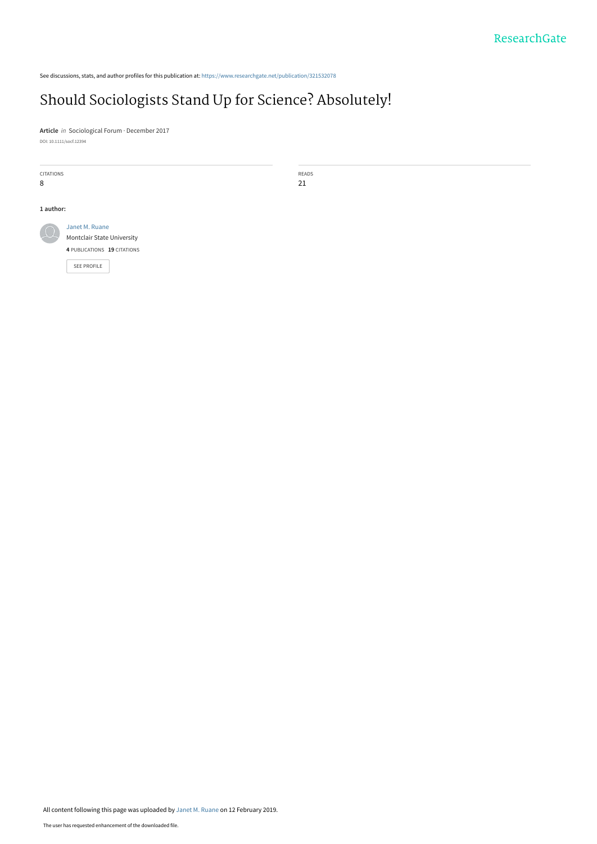See discussions, stats, and author profiles for this publication at: [https://www.researchgate.net/publication/321532078](https://www.researchgate.net/publication/321532078_Should_Sociologists_Stand_Up_for_Science_Absolutely?enrichId=rgreq-3dedeb629c26d14e62bdc5e34e807eea-XXX&enrichSource=Y292ZXJQYWdlOzMyMTUzMjA3ODtBUzo3MjU0NzkzMDA1NTA2NTlAMTU0OTk3OTE1MjExOQ%3D%3D&el=1_x_2&_esc=publicationCoverPdf)

## [Should Sociologists Stand Up for Science? Absolutely!](https://www.researchgate.net/publication/321532078_Should_Sociologists_Stand_Up_for_Science_Absolutely?enrichId=rgreq-3dedeb629c26d14e62bdc5e34e807eea-XXX&enrichSource=Y292ZXJQYWdlOzMyMTUzMjA3ODtBUzo3MjU0NzkzMDA1NTA2NTlAMTU0OTk3OTE1MjExOQ%3D%3D&el=1_x_3&_esc=publicationCoverPdf)

**Article** in Sociological Forum · December 2017 DOI: 10.1111/socf.12394

| CITATIONS<br>8 |                                                                             | READS<br>21 |
|----------------|-----------------------------------------------------------------------------|-------------|
| 1 author:      | Janet M. Ruane<br>Montclair State University<br>4 PUBLICATIONS 19 CITATIONS |             |
|                | SEE PROFILE                                                                 |             |

All content following this page was uploaded by [Janet M. Ruane](https://www.researchgate.net/profile/Janet_Ruane?enrichId=rgreq-3dedeb629c26d14e62bdc5e34e807eea-XXX&enrichSource=Y292ZXJQYWdlOzMyMTUzMjA3ODtBUzo3MjU0NzkzMDA1NTA2NTlAMTU0OTk3OTE1MjExOQ%3D%3D&el=1_x_10&_esc=publicationCoverPdf) on 12 February 2019.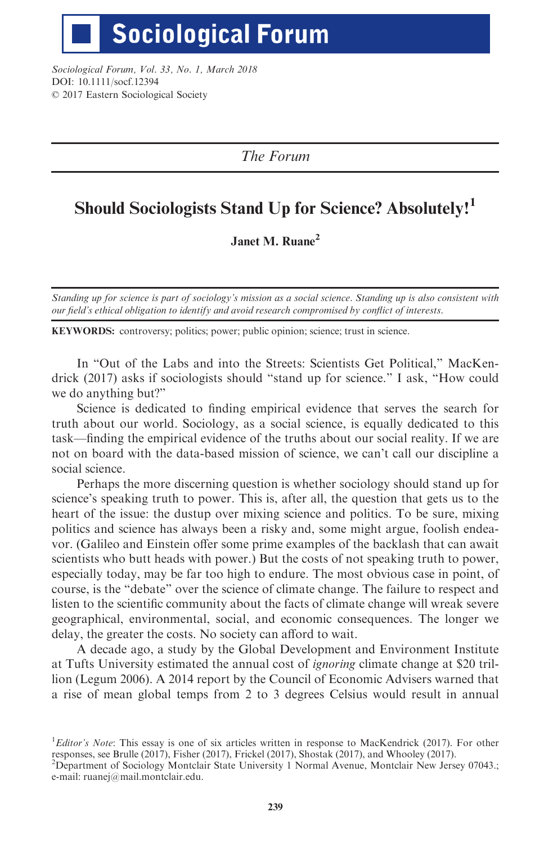# **Sociological Forum**

Sociological Forum, Vol. 33, No. 1, March 2018 DOI: 10.1111/socf.12394 © 2017 Eastern Sociological Society

The Forum

## Should Sociologists Stand Up for Science? Absolutely!<sup>1</sup>

Janet M. Ruane<sup>2</sup>

Standing up for science is part of sociology's mission as a social science. Standing up is also consistent with our field's ethical obligation to identify and avoid research compromised by conflict of interests.

KEYWORDS: controversy; politics; power; public opinion; science; trust in science.

In "Out of the Labs and into the Streets: Scientists Get Political," MacKendrick (2017) asks if sociologists should "stand up for science." I ask, "How could we do anything but?"

Science is dedicated to finding empirical evidence that serves the search for truth about our world. Sociology, as a social science, is equally dedicated to this task—finding the empirical evidence of the truths about our social reality. If we are not on board with the data-based mission of science, we can't call our discipline a social science.

Perhaps the more discerning question is whether sociology should stand up for science's speaking truth to power. This is, after all, the question that gets us to the heart of the issue: the dustup over mixing science and politics. To be sure, mixing politics and science has always been a risky and, some might argue, foolish endeavor. (Galileo and Einstein offer some prime examples of the backlash that can await scientists who butt heads with power.) But the costs of not speaking truth to power, especially today, may be far too high to endure. The most obvious case in point, of course, is the "debate" over the science of climate change. The failure to respect and listen to the scientific community about the facts of climate change will wreak severe geographical, environmental, social, and economic consequences. The longer we delay, the greater the costs. No society can afford to wait.

A decade ago, a study by the Global Development and Environment Institute at Tufts University estimated the annual cost of ignoring climate change at \$20 trillion (Legum 2006). A 2014 report by the Council of Economic Advisers warned that a rise of mean global temps from 2 to 3 degrees Celsius would result in annual

<sup>&</sup>lt;sup>1</sup>Editor's Note: This essay is one of six articles written in response to MacKendrick (2017). For other responses, see Brulle (2017), Fisher (2017), Frickel (2017), Shostak (2017), and Whooley (2017).

<sup>2</sup> Department of Sociology Montclair State University 1 Normal Avenue, Montclair New Jersey 07043.; e-mail: ruanej@mail.montclair.edu.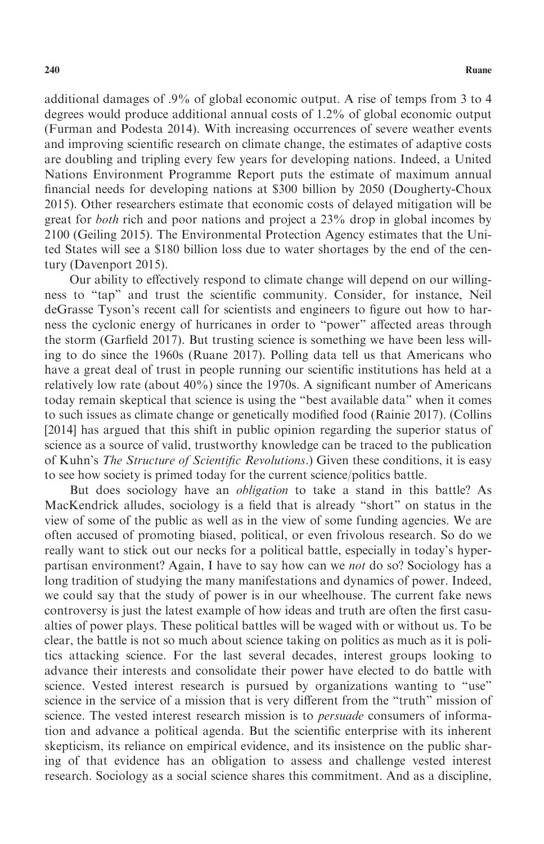additional damages of .9% of global economic output. A rise of temps from 3 to 4 degrees would produce additional annual costs of 1.2% of global economic output (Furman and Podesta 2014). With increasing occurrences of severe weather events and improving scientific research on climate change, the estimates of adaptive costs are doubling and tripling every few years for developing nations. Indeed, a United Nations Environment Programme Report puts the estimate of maximum annual financial needs for developing nations at \$300 billion by 2050 (Dougherty-Choux 2015). Other researchers estimate that economic costs of delayed mitigation will be great for both rich and poor nations and project a 23% drop in global incomes by 2100 (Geiling 2015). The Environmental Protection Agency estimates that the United States will see a \$180 billion loss due to water shortages by the end of the century (Davenport 2015).

Our ability to effectively respond to climate change will depend on our willingness to "tap" and trust the scientific community. Consider, for instance, Neil deGrasse Tyson's recent call for scientists and engineers to figure out how to harness the cyclonic energy of hurricanes in order to "power" affected areas through the storm (Garfield 2017). But trusting science is something we have been less willing to do since the 1960s (Ruane 2017). Polling data tell us that Americans who have a great deal of trust in people running our scientific institutions has held at a relatively low rate (about 40%) since the 1970s. A significant number of Americans today remain skeptical that science is using the "best available data" when it comes to such issues as climate change or genetically modified food (Rainie 2017). (Collins [2014] has argued that this shift in public opinion regarding the superior status of science as a source of valid, trustworthy knowledge can be traced to the publication of Kuhn's The Structure of Scientific Revolutions.) Given these conditions, it is easy to see how society is primed today for the current science/politics battle.

But does sociology have an obligation to take a stand in this battle? As MacKendrick alludes, sociology is a field that is already "short" on status in the view of some of the public as well as in the view of some funding agencies. We are often accused of promoting biased, political, or even frivolous research. So do we really want to stick out our necks for a political battle, especially in today's hyperpartisan environment? Again, I have to say how can we not do so? Sociology has a long tradition of studying the many manifestations and dynamics of power. Indeed, we could say that the study of power is in our wheelhouse. The current fake news controversy is just the latest example of how ideas and truth are often the first casualties of power plays. These political battles will be waged with or without us. To be clear, the battle is not so much about science taking on politics as much as it is politics attacking science. For the last several decades, interest groups looking to advance their interests and consolidate their power have elected to do battle with science. Vested interest research is pursued by organizations wanting to "use" science in the service of a mission that is very different from the "truth" mission of science. The vested interest research mission is to *persuade* consumers of information and advance a political agenda. But the scientific enterprise with its inherent skepticism, its reliance on empirical evidence, and its insistence on the public sharing of that evidence has an obligation to assess and challenge vested interest research. Sociology as a social science shares this commitment. And as a discipline,